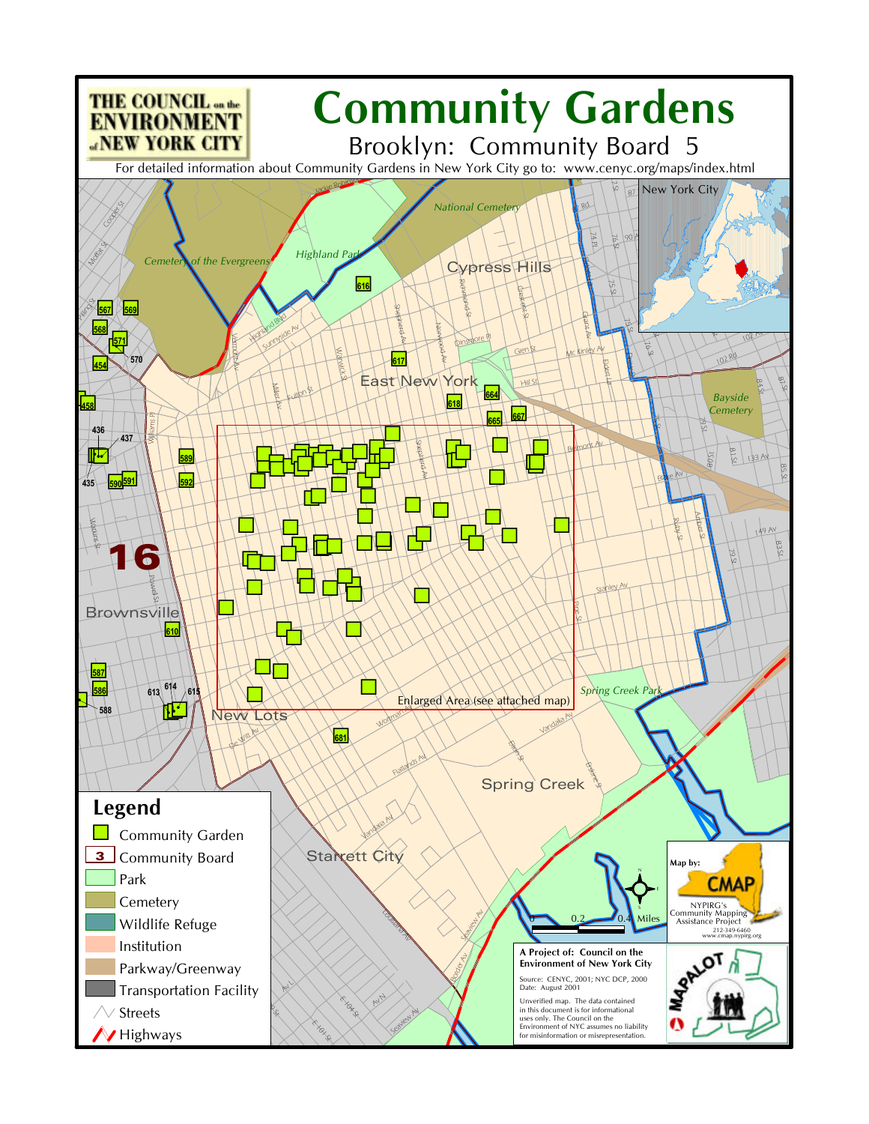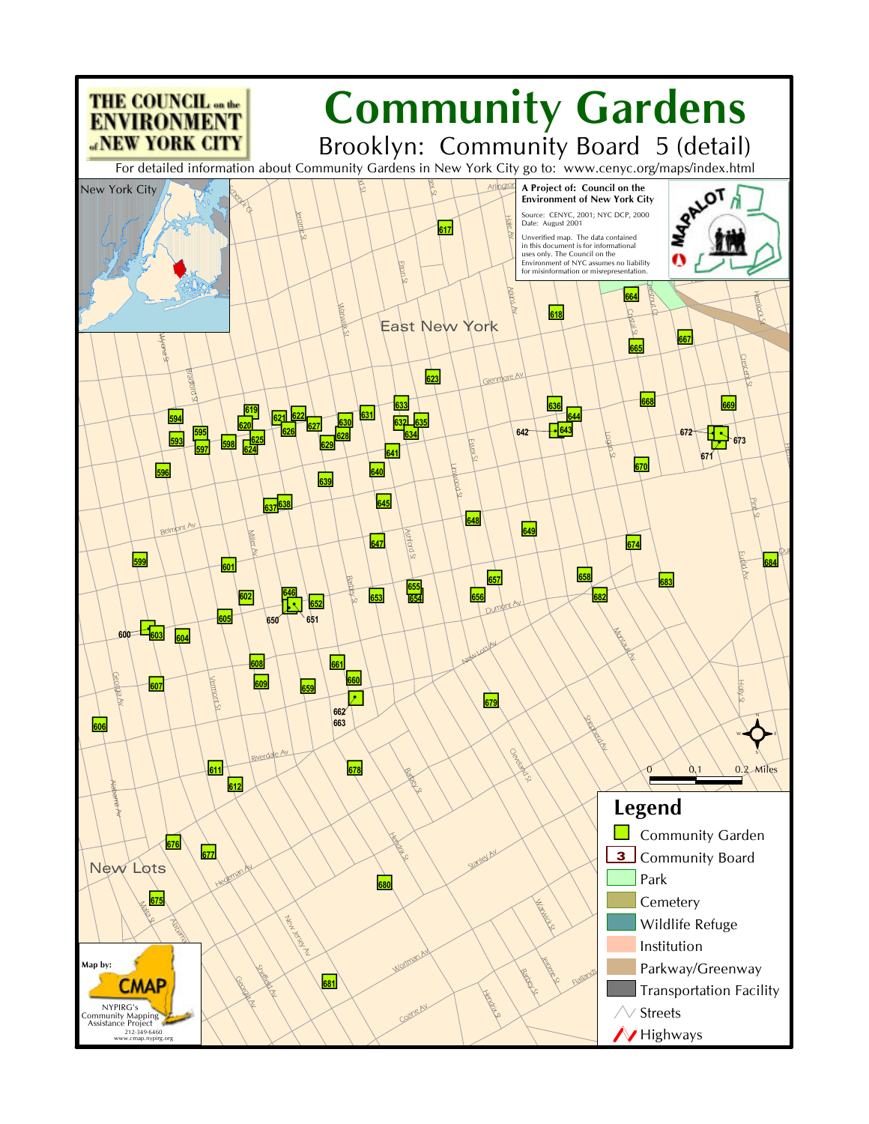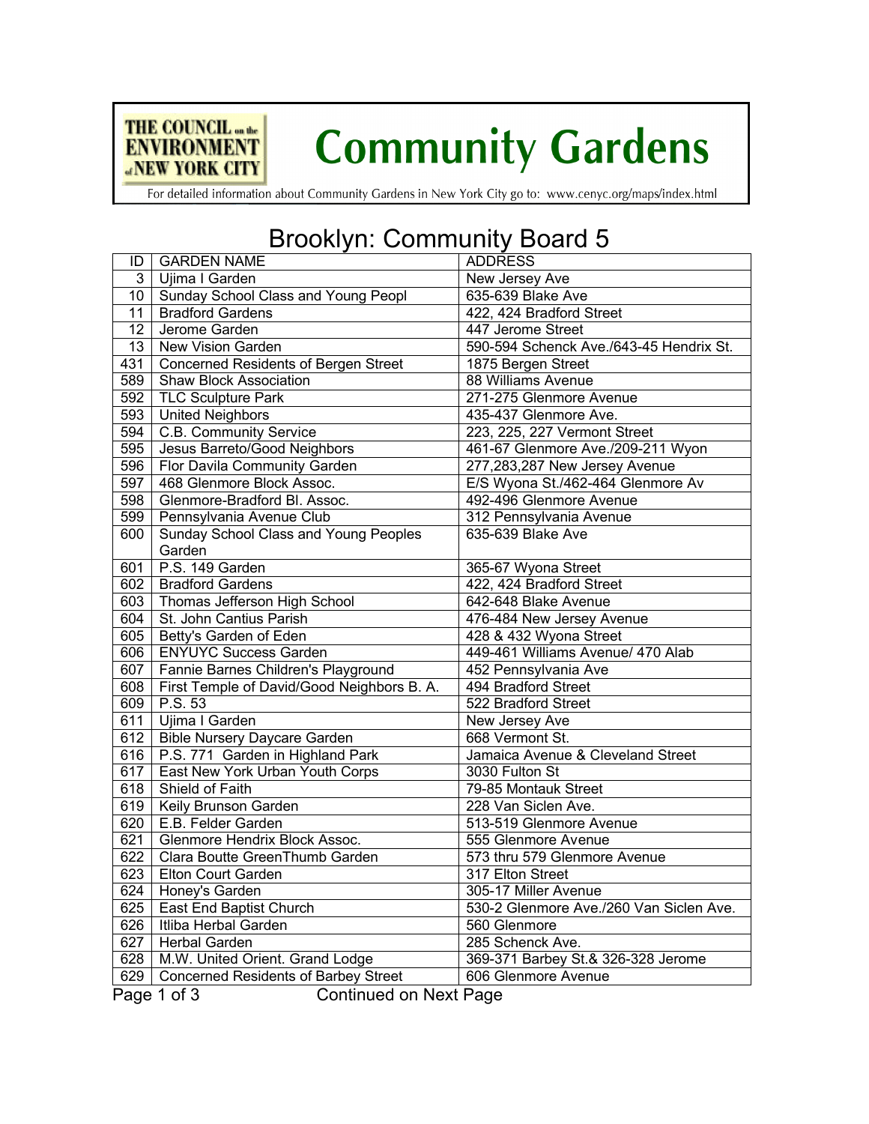

# **Community Gardens**

For detailed information about Community Gardens in New York City go to: www.cenyc.org/maps/index.html

### Brooklyn: Community Board 5

| ID               | <b>GARDEN NAME</b>                           | <b>ADDRESS</b>                          |  |
|------------------|----------------------------------------------|-----------------------------------------|--|
| 3 <sup>1</sup>   | Ujima I Garden                               | New Jersey Ave                          |  |
| 10               | Sunday School Class and Young Peopl          | 635-639 Blake Ave                       |  |
| 11               | <b>Bradford Gardens</b>                      | 422, 424 Bradford Street                |  |
| 12               | Jerome Garden                                | 447 Jerome Street                       |  |
| 13               | New Vision Garden                            | 590-594 Schenck Ave./643-45 Hendrix St. |  |
| 431              | Concerned Residents of Bergen Street         | 1875 Bergen Street                      |  |
| 589              | <b>Shaw Block Association</b>                | 88 Williams Avenue                      |  |
| 592              | <b>TLC Sculpture Park</b>                    | 271-275 Glenmore Avenue                 |  |
| 593              | <b>United Neighbors</b>                      | 435-437 Glenmore Ave.                   |  |
| 594              | C.B. Community Service                       | 223, 225, 227 Vermont Street            |  |
| $\overline{595}$ | Jesus Barreto/Good Neighbors                 | 461-67 Glenmore Ave./209-211 Wyon       |  |
| 596              | Flor Davila Community Garden                 | 277,283,287 New Jersey Avenue           |  |
| 597              | 468 Glenmore Block Assoc.                    | E/S Wyona St./462-464 Glenmore Av       |  |
| 598              | Glenmore-Bradford Bl. Assoc.                 | 492-496 Glenmore Avenue                 |  |
| 599              | Pennsylvania Avenue Club                     | 312 Pennsylvania Avenue                 |  |
| 600              | Sunday School Class and Young Peoples        | 635-639 Blake Ave                       |  |
|                  | Garden                                       |                                         |  |
| 601              | P.S. 149 Garden                              | 365-67 Wyona Street                     |  |
| 602              | <b>Bradford Gardens</b>                      | 422, 424 Bradford Street                |  |
|                  | 603   Thomas Jefferson High School           | 642-648 Blake Avenue                    |  |
|                  | 604   St. John Cantius Parish                | 476-484 New Jersey Avenue               |  |
| 605              | Betty's Garden of Eden                       | 428 & 432 Wyona Street                  |  |
| 606              | <b>ENYUYC Success Garden</b>                 | 449-461 Williams Avenue/ 470 Alab       |  |
| 607              | Fannie Barnes Children's Playground          | 452 Pennsylvania Ave                    |  |
| 608              | First Temple of David/Good Neighbors B. A.   | 494 Bradford Street                     |  |
| 609              | P.S. 53                                      | 522 Bradford Street                     |  |
| 611              | Ujima I Garden                               | New Jersey Ave                          |  |
| $\overline{612}$ | <b>Bible Nursery Daycare Garden</b>          | 668 Vermont St.                         |  |
| 616              | P.S. 771 Garden in Highland Park             | Jamaica Avenue & Cleveland Street       |  |
| 617              | East New York Urban Youth Corps              | 3030 Fulton St                          |  |
| 618              | Shield of Faith                              | 79-85 Montauk Street                    |  |
| 619              | Keily Brunson Garden                         | 228 Van Siclen Ave.                     |  |
| 620              | E.B. Felder Garden                           | 513-519 Glenmore Avenue                 |  |
| 621              | Glenmore Hendrix Block Assoc.                | 555 Glenmore Avenue                     |  |
| 622              | Clara Boutte GreenThumb Garden               | 573 thru 579 Glenmore Avenue            |  |
| 623              | Elton Court Garden                           | 317 Elton Street                        |  |
| 624              | Honey's Garden                               | 305-17 Miller Avenue                    |  |
| 625              | East End Baptist Church                      | 530-2 Glenmore Ave./260 Van Siclen Ave. |  |
| 626              | Itliba Herbal Garden                         | 560 Glenmore                            |  |
| 627              | Herbal Garden                                | 285 Schenck Ave.                        |  |
| 628              | M.W. United Orient. Grand Lodge              | 369-371 Barbey St.& 326-328 Jerome      |  |
| 629              | <b>Concerned Residents of Barbey Street</b>  | 606 Glenmore Avenue                     |  |
|                  | <b>Continued on Next Page</b><br>Page 1 of 3 |                                         |  |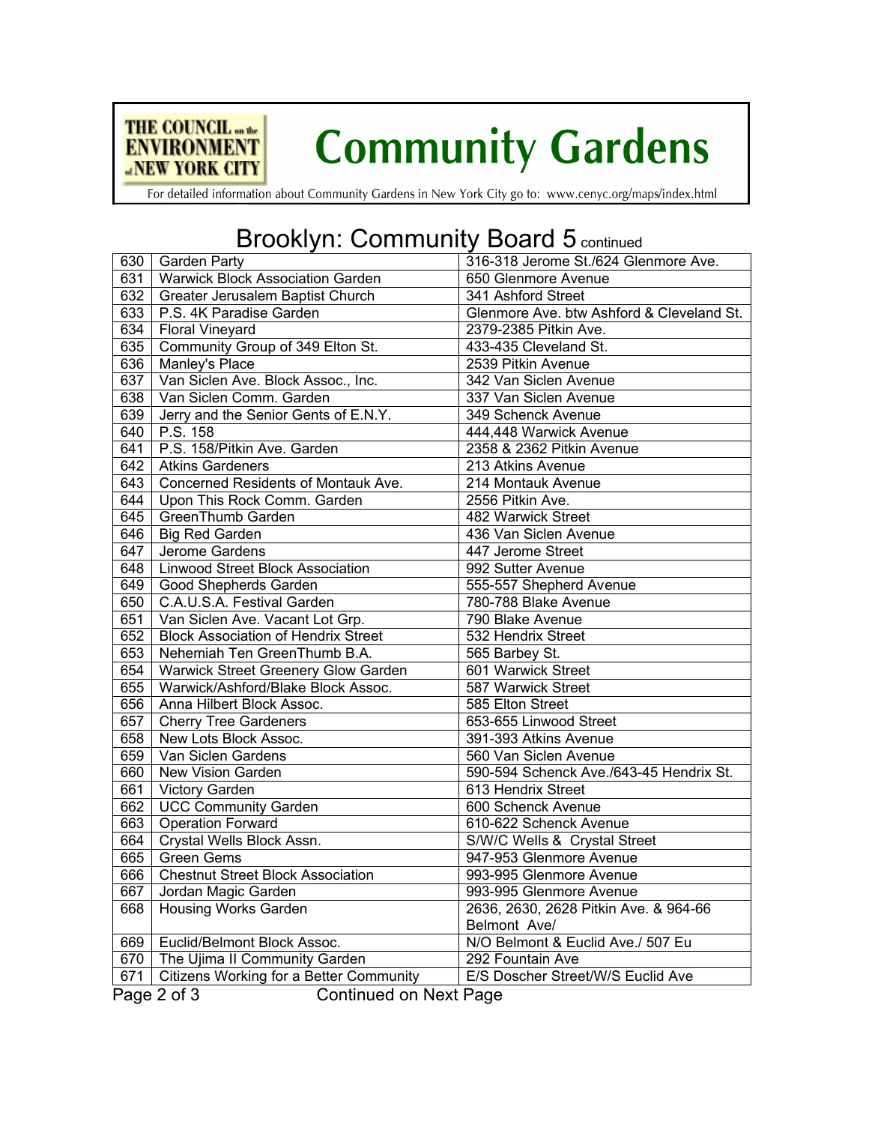

# **Community Gardens**

For detailed information about Community Gardens in New York City go to: www.cenyc.org/maps/index.html

#### Brooklyn: Community Board 5 continued

|     | 630 Garden Party                             | 316-318 Jerome St./624 Glenmore Ave.      |
|-----|----------------------------------------------|-------------------------------------------|
|     | 631   Warwick Block Association Garden       | 650 Glenmore Avenue                       |
|     | 632   Greater Jerusalem Baptist Church       | 341 Ashford Street                        |
|     | 633   P.S. 4K Paradise Garden                | Glenmore Ave. btw Ashford & Cleveland St. |
|     | 634   Floral Vineyard                        | 2379-2385 Pitkin Ave.                     |
| 635 | Community Group of 349 Elton St.             | 433-435 Cleveland St.                     |
| 636 | Manley's Place                               | 2539 Pitkin Avenue                        |
|     | 637   Van Siclen Ave. Block Assoc., Inc.     | 342 Van Siclen Avenue                     |
| 638 | Van Siclen Comm. Garden                      | 337 Van Siclen Avenue                     |
| 639 | Jerry and the Senior Gents of E.N.Y.         | 349 Schenck Avenue                        |
| 640 | P.S. 158                                     | 444,448 Warwick Avenue                    |
| 641 | P.S. 158/Pitkin Ave. Garden                  | 2358 & 2362 Pitkin Avenue                 |
| 642 | <b>Atkins Gardeners</b>                      | 213 Atkins Avenue                         |
| 643 | Concerned Residents of Montauk Ave.          | 214 Montauk Avenue                        |
|     | 644   Upon This Rock Comm. Garden            | 2556 Pitkin Ave.                          |
| 645 | GreenThumb Garden                            | 482 Warwick Street                        |
| 646 | <b>Big Red Garden</b>                        | 436 Van Siclen Avenue                     |
| 647 | Jerome Gardens                               | 447 Jerome Street                         |
| 648 | Linwood Street Block Association             | 992 Sutter Avenue                         |
| 649 | Good Shepherds Garden                        | 555-557 Shepherd Avenue                   |
| 650 | C.A.U.S.A. Festival Garden                   | 780-788 Blake Avenue                      |
|     | 651   Van Siclen Ave. Vacant Lot Grp.        | 790 Blake Avenue                          |
| 652 | <b>Block Association of Hendrix Street</b>   | 532 Hendrix Street                        |
| 653 | Nehemiah Ten GreenThumb B.A.                 | 565 Barbey St.                            |
| 654 | Warwick Street Greenery Glow Garden          | 601 Warwick Street                        |
| 655 | Warwick/Ashford/Blake Block Assoc.           | 587 Warwick Street                        |
| 656 | Anna Hilbert Block Assoc.                    | 585 Elton Street                          |
| 657 | <b>Cherry Tree Gardeners</b>                 | 653-655 Linwood Street                    |
| 658 | New Lots Block Assoc.                        | 391-393 Atkins Avenue                     |
| 659 | Van Siclen Gardens                           | 560 Van Siclen Avenue                     |
| 660 | New Vision Garden                            | 590-594 Schenck Ave./643-45 Hendrix St.   |
| 661 | <b>Victory Garden</b>                        | 613 Hendrix Street                        |
| 662 | <b>UCC Community Garden</b>                  | 600 Schenck Avenue                        |
| 663 | <b>Operation Forward</b>                     | 610-622 Schenck Avenue                    |
| 664 | Crystal Wells Block Assn.                    | S/W/C Wells & Crystal Street              |
| 665 | <b>Green Gems</b>                            | 947-953 Glenmore Avenue                   |
| 666 | <b>Chestnut Street Block Association</b>     | 993-995 Glenmore Avenue                   |
| 667 | Jordan Magic Garden                          | 993-995 Glenmore Avenue                   |
| 668 | <b>Housing Works Garden</b>                  | 2636, 2630, 2628 Pitkin Ave. & 964-66     |
|     |                                              | Belmont Ave/                              |
| 669 | Euclid/Belmont Block Assoc.                  | N/O Belmont & Euclid Ave./ 507 Eu         |
| 670 | The Ujima II Community Garden                | 292 Fountain Ave                          |
| 671 | Citizens Working for a Better Community      | E/S Doscher Street/W/S Euclid Ave         |
|     | <b>Continued on Next Page</b><br>Page 2 of 3 |                                           |